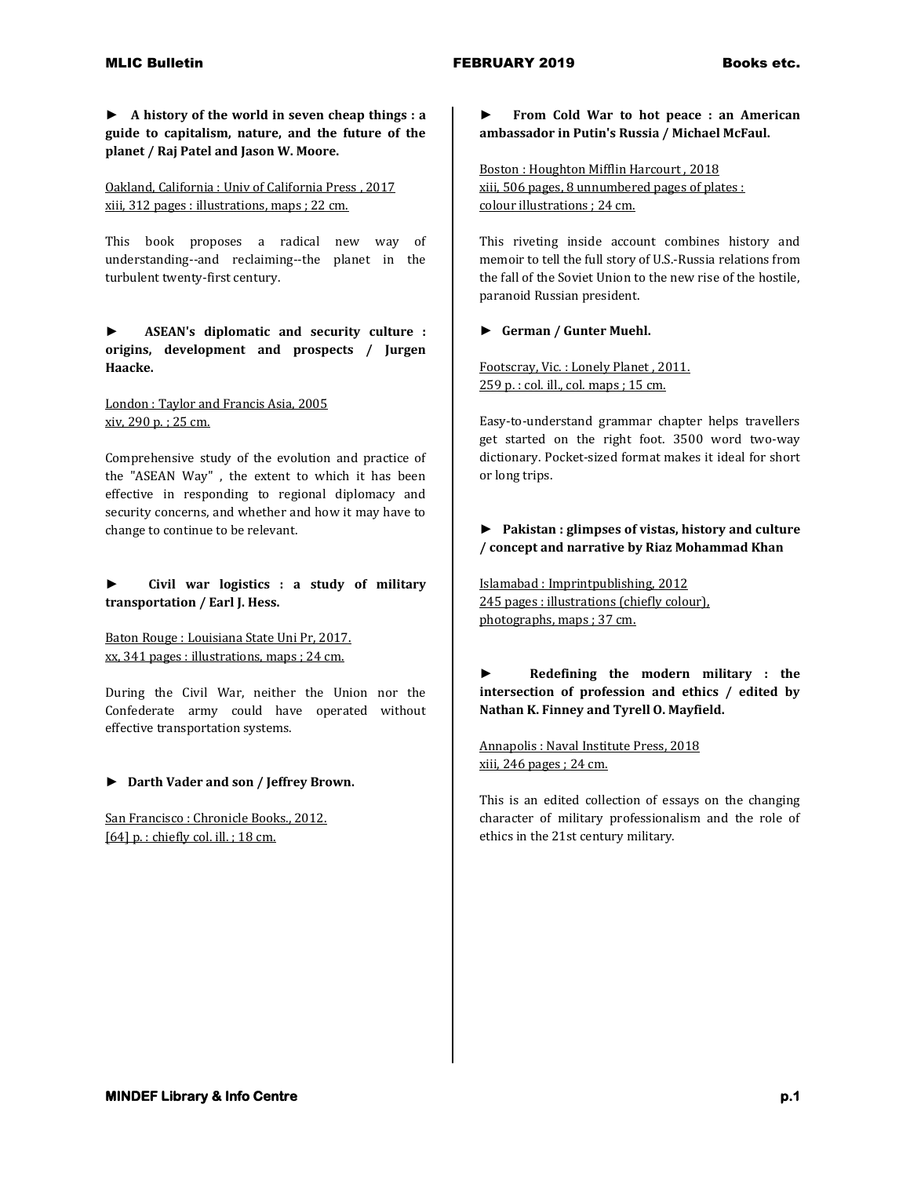**► A history of the world in seven cheap things : a guide to capitalism, nature, and the future of the planet / Raj Patel and Jason W. Moore.**

Oakland, California : Univ of California Press , 2017 xiii, 312 pages : illustrations, maps ; 22 cm.

This book proposes a radical new way of understanding--and reclaiming--the planet in the turbulent twenty-first century.

**► ASEAN's diplomatic and security culture : origins, development and prospects / Jurgen Haacke.**

London : Taylor and Francis Asia, 2005 xiv, 290 p. ; 25 cm.

Comprehensive study of the evolution and practice of the "ASEAN Way" , the extent to which it has been effective in responding to regional diplomacy and security concerns, and whether and how it may have to change to continue to be relevant.

**► Civil war logistics : a study of military transportation / Earl J. Hess.**

Baton Rouge : Louisiana State Uni Pr, 2017. xx, 341 pages : illustrations, maps ; 24 cm.

During the Civil War, neither the Union nor the Confederate army could have operated without effective transportation systems.

### **► Darth Vader and son / Jeffrey Brown.**

San Francisco : Chronicle Books., 2012. [64] p. : chiefly col. ill. ; 18 cm.

**► From Cold War to hot peace : an American ambassador in Putin's Russia / Michael McFaul.**

Boston : Houghton Mifflin Harcourt , 2018 xiii, 506 pages, 8 unnumbered pages of plates : colour illustrations ; 24 cm.

This riveting inside account combines history and memoir to tell the full story of U.S.-Russia relations from the fall of the Soviet Union to the new rise of the hostile, paranoid Russian president.

#### **► German / Gunter Muehl.**

Footscray, Vic. : Lonely Planet , 2011. 259 p. : col. ill., col. maps ; 15 cm.

Easy-to-understand grammar chapter helps travellers get started on the right foot. 3500 word two-way dictionary. Pocket-sized format makes it ideal for short or long trips.

### **► Pakistan : glimpses of vistas, history and culture / concept and narrative by Riaz Mohammad Khan**

Islamabad : Imprintpublishing, 2012 245 pages : illustrations (chiefly colour), photographs, maps ; 37 cm.

**► Redefining the modern military : the intersection of profession and ethics / edited by Nathan K. Finney and Tyrell O. Mayfield.**

Annapolis : Naval Institute Press, 2018 xiii, 246 pages ; 24 cm.

This is an edited collection of essays on the changing character of military professionalism and the role of ethics in the 21st century military.